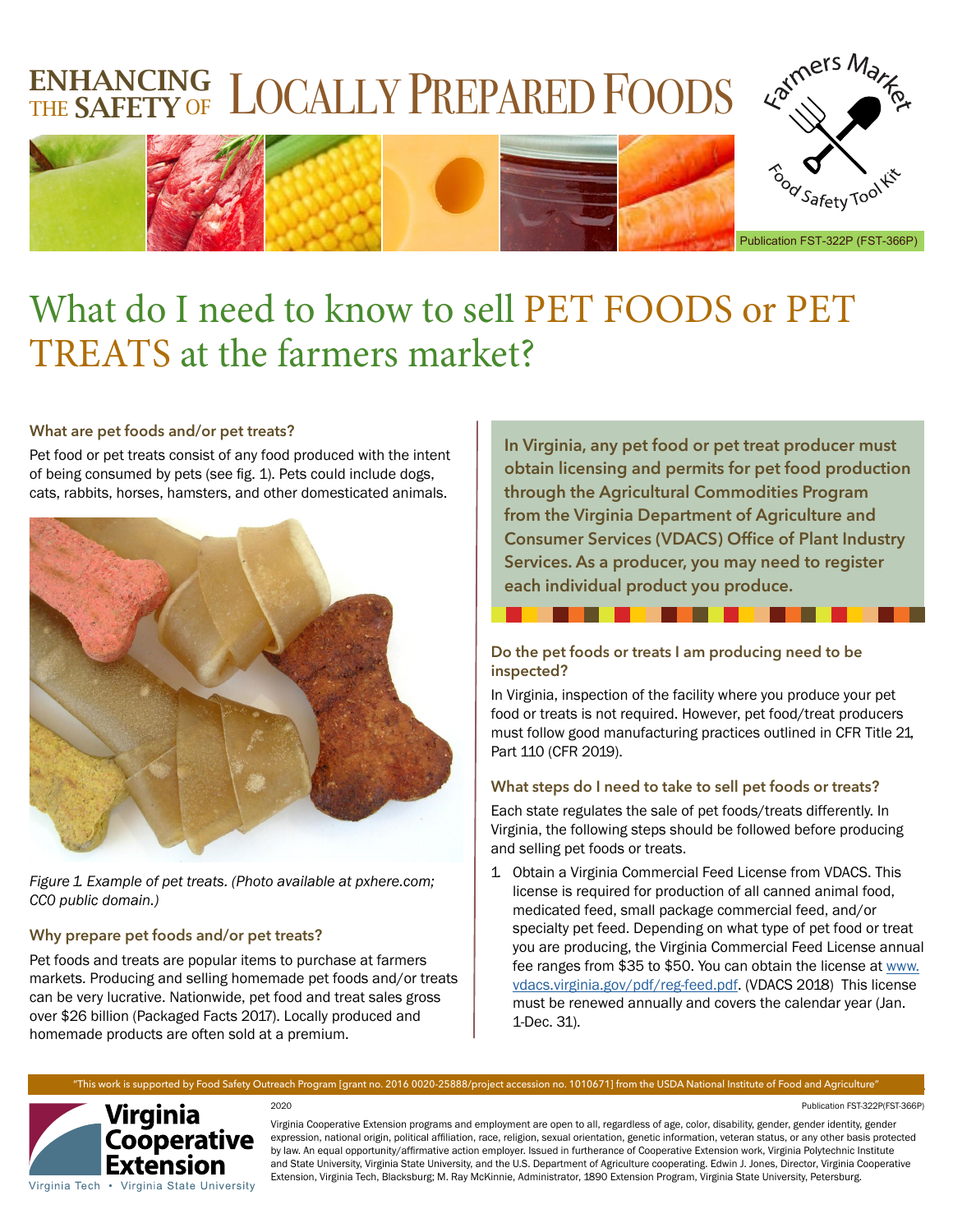# ENHANCING LOCALLY PREPARED FOODS



Publication FST-322P (FST-366P)

# What do I need to know to sell PET FOODS or PET TREATS at the farmers market?

## **What are pet foods and/or pet treats?**

Pet food or pet treats consist of any food produced with the intent of being consumed by pets (see fig. 1). Pets could include dogs, cats, rabbits, horses, hamsters, and other domesticated animals.



Figure 1. Example of pet treats. (Photo available at pxhere.com; CC0 public domain.)

# **Why prepare pet foods and/or pet treats?**

Pet foods and treats are popular items to purchase at farmers markets. Producing and selling homemade pet foods and/or treats can be very lucrative. Nationwide, pet food and treat sales gross over \$26 billion (Packaged Facts 2017). Locally produced and homemade products are often sold at a premium.

**In Virginia, any pet food or pet treat producer must obtain licensing and permits for pet food production through the Agricultural Commodities Program from the Virginia Department of Agriculture and Consumer Services (VDACS) Office of Plant Industry Services. As a producer, you may need to register each individual product you produce.** 

# **Do the pet foods or treats I am producing need to be inspected?**

In Virginia, inspection of the facility where you produce your pet food or treats is not required. However, pet food/treat producers must follow good manufacturing practices outlined in CFR Title 21, Part 110 (CFR 2019).

# **What steps do I need to take to sell pet foods or treats?**

Each state regulates the sale of pet foods/treats differently. In Virginia, the following steps should be followed before producing and selling pet foods or treats.

1. Obtain a Virginia Commercial Feed License from VDACS. This license is required for production of all canned animal food, medicated feed, small package commercial feed, and/or specialty pet feed. Depending on what type of pet food or treat you are producing, the Virginia Commercial Feed License annual fee ranges from \$35 to \$50. You can obtain the license at [www.](http://www.vdacs.virginia.gov/pdf/reg-feed.pdf) [vdacs.virginia.gov/pdf/reg-feed.pdf](http://www.vdacs.virginia.gov/pdf/reg-feed.pdf). (VDACS 2018) This license must be renewed annually and covers the calendar year (Jan. 1-Dec. 31).



# Cooperative Extension Virginia Tech • Virginia State University

#### 2020 Publication FST-322P(FST-366P)

Virginia Cooperative Extension programs and employment are open to all, regardless of age, color, disability, gender, gender identity, gender expression, national origin, political affiliation, race, religion, sexual orientation, genetic information, veteran status, or any other basis protected by law. An equal opportunity/affirmative action employer. Issued in furtherance of Cooperative Extension work, Virginia Polytechnic Institute and State University, Virginia State University, and the U.S. Department of Agriculture cooperating. Edwin J. Jones, Director, Virginia Cooperative Extension, Virginia Tech, Blacksburg; M. Ray McKinnie, Administrator, 1890 Extension Program, Virginia State University, Petersburg.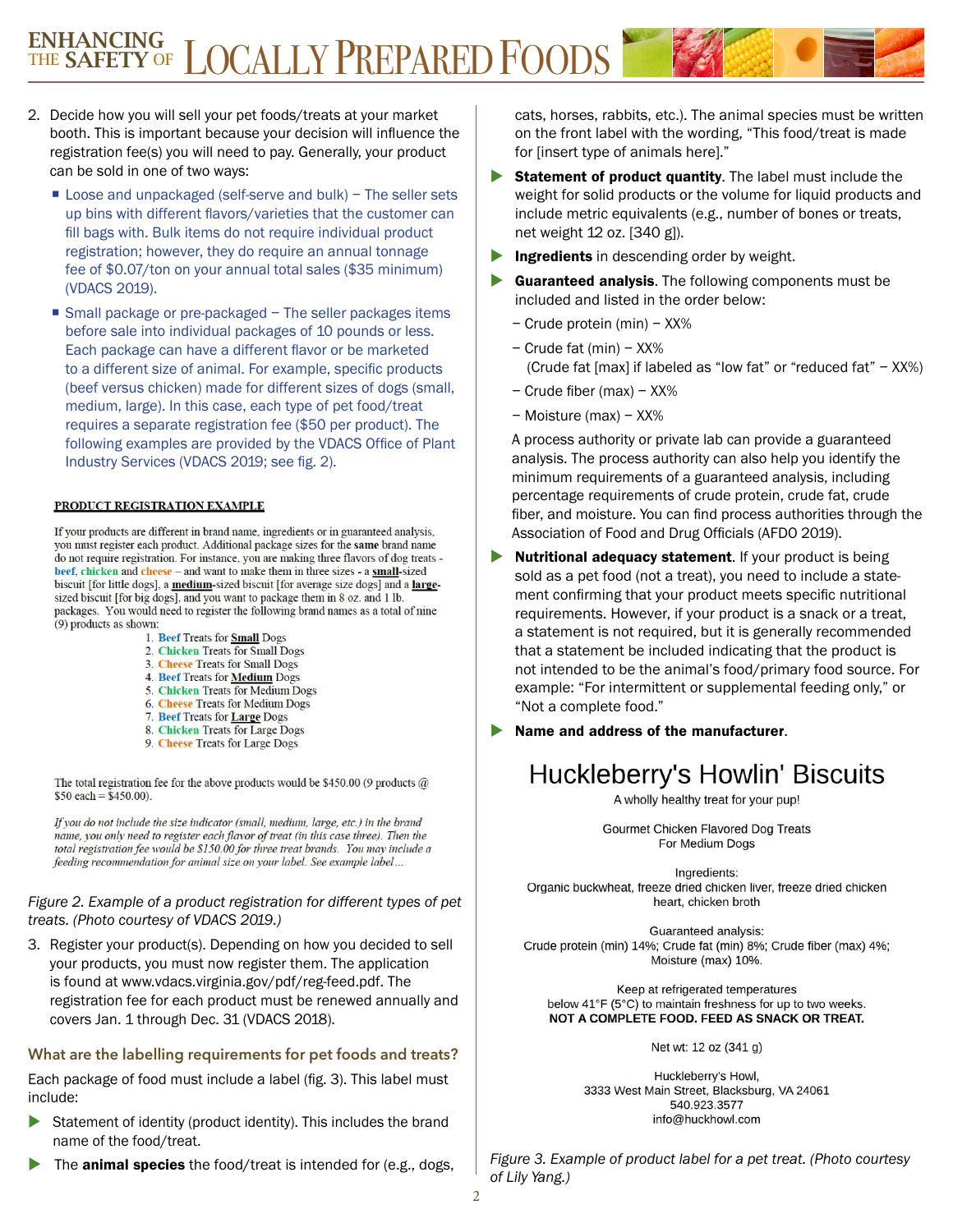# ENHANCING<br>THE SAFETY OF LOCALLY PREPARED FOODS

- 2. Decide how you will sell your pet foods/treats at your market booth. This is important because your decision will influence the registration fee(s) you will need to pay. Generally, your product can be sold in one of two ways:
	- Loose and unpackaged (self-serve and bulk) The seller sets up bins with different flavors/varieties that the customer can fill bags with. Bulk items do not require individual product registration; however, they do require an annual tonnage fee of \$0.07/ton on your annual total sales (\$35 minimum) (VDACS 2019).
	- Small package or pre-packaged The seller packages items before sale into individual packages of 10 pounds or less. Each package can have a different flavor or be marketed to a different size of animal. For example, specific products (beef versus chicken) made for different sizes of dogs (small, medium, large). In this case, each type of pet food/treat requires a separate registration fee (\$50 per product). The following examples are provided by the VDACS Office of Plant Industry Services (VDACS 2019; see fig. 2).

#### PRODUCT REGISTRATION EXAMPLE

If your products are different in brand name, ingredients or in guaranteed analysis, you must register each product. Additional package sizes for the same brand name do not require registration. For instance, you are making three flavors of dog treats beef, chicken and cheese - and want to make them in three sizes - a small-sized biscuit [for little dogs], a medium-sized biscuit [for average size dogs] and a largesized biscuit [for big dogs], and you want to package them in 8 oz. and 1 lb. packages. You would need to register the following brand names as a total of nine (9) products as shown:

- 1. Beef Treats for **Small** Dogs
- 2. Chicken Treats for Small Dogs
- 3. Cheese Treats for Small Dogs
- 4. Beef Treats for **Medium** Dogs
- 5. Chicken Treats for Medium Dogs
- 6. Cheese Treats for Medium Dogs
- 7. Beef Treats for Large Dogs
- 8. Chicken Treats for Large Dogs
- 9. Cheese Treats for Large Dogs

The total registration fee for the above products would be \$450.00 (9 products  $@$  $$50$  each = \$450.00).

If you do not include the size indicator (small, medium, large, etc.) in the brand name, you only need to register each flavor of treat (in this case three). Then the total registration fee would be \$150.00 for three treat brands. You may include a feeding recommendation for animal size on your label. See example label...

#### Figure 2. Example of a product registration for different types of pet treats. (Photo courtesy of VDACS 2019.)

3. Register your product(s). Depending on how you decided to sell your products, you must now register them. The application is found at www.vdacs.virginia.gov/pdf/reg-feed.pdf. The registration fee for each product must be renewed annually and covers Jan. 1 through Dec. 31 (VDACS 2018).

### **What are the labelling requirements for pet foods and treats?**

Each package of food must include a label (fig. 3). This label must include:

- Statement of identity (product identity). This includes the brand name of the food/treat.
- The **animal species** the food/treat is intended for (e.g., dogs,

cats, horses, rabbits, etc.). The animal species must be written on the front label with the wording, "This food/treat is made for [insert type of animals here]."

- $\triangleright$  Statement of product quantity. The label must include the weight for solid products or the volume for liquid products and include metric equivalents (e.g., number of bones or treats, net weight 12 oz. [340 g]).
- Ingredients in descending order by weight.
- Guaranteed analysis. The following components must be included and listed in the order below:
	- Crude protein (min) XX%
	- Crude fat (min) XX% (Crude fat [max] if labeled as "low fat" or "reduced fat" – XX%)
	- Crude fiber (max) XX%
	- Moisture (max) XX%

A process authority or private lab can provide a guaranteed analysis. The process authority can also help you identify the minimum requirements of a guaranteed analysis, including percentage requirements of crude protein, crude fat, crude fiber, and moisture. You can find process authorities through the Association of Food and Drug Officials (AFDO 2019).

- $\blacktriangleright$  Nutritional adequacy statement. If your product is being sold as a pet food (not a treat), you need to include a statement confirming that your product meets specific nutritional requirements. However, if your product is a snack or a treat, a statement is not required, but it is generally recommended that a statement be included indicating that the product is not intended to be the animal's food/primary food source. For example: "For intermittent or supplemental feeding only," or "Not a complete food."
- Name and address of the manufacturer.

# Huckleberry's Howlin' Biscuits

A wholly healthy treat for your pup!

Gourmet Chicken Flavored Dog Treats For Medium Dogs

Ingredients: Organic buckwheat, freeze dried chicken liver, freeze dried chicken heart, chicken broth

Guaranteed analysis: Crude protein (min) 14%; Crude fat (min) 8%; Crude fiber (max) 4%; Moisture (max) 10%.

Keep at refrigerated temperatures below 41°F (5°C) to maintain freshness for up to two weeks. NOT A COMPLETE FOOD. FEED AS SNACK OR TREAT.

Net wt: 12 oz (341 g)

Huckleberry's Howl, 3333 West Main Street, Blacksburg, VA 24061 540.923.3577 info@huckhowl.com

Figure 3. Example of product label for a pet treat. (Photo courtesy of Lily Yang.)